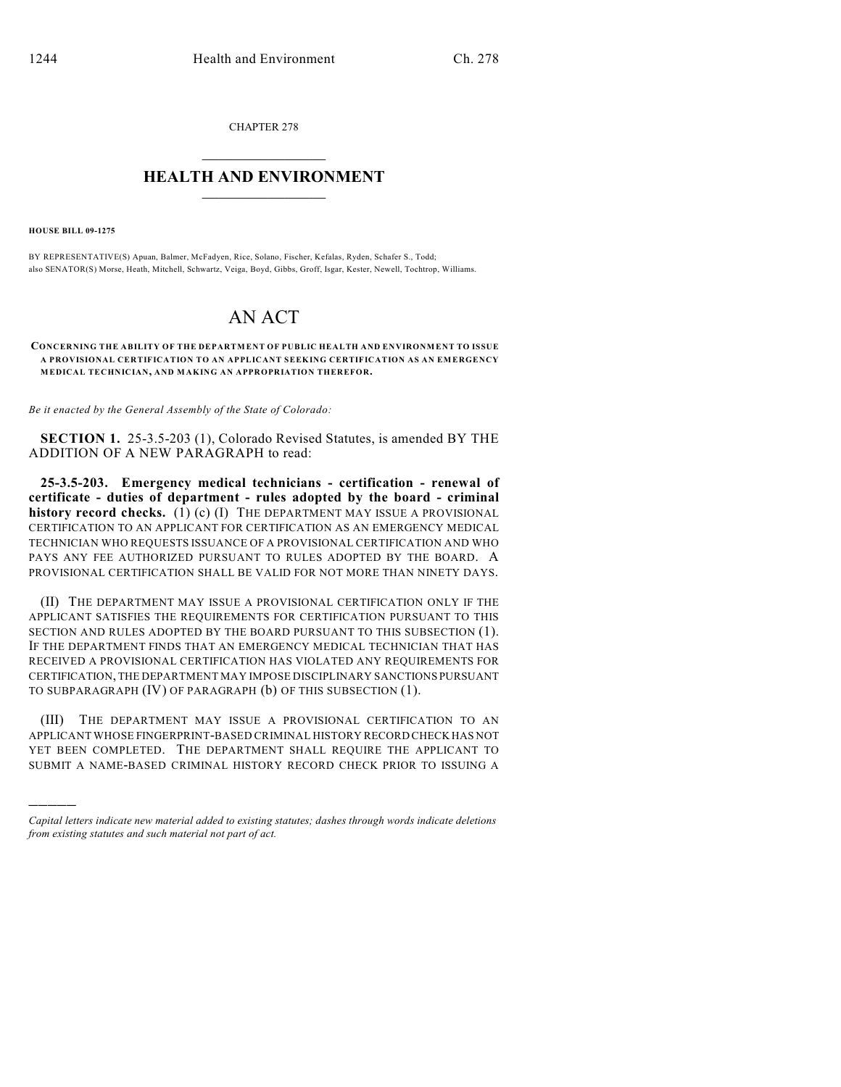CHAPTER 278  $\overline{\phantom{a}}$  . The set of the set of the set of the set of the set of the set of the set of the set of the set of the set of the set of the set of the set of the set of the set of the set of the set of the set of the set o

## **HEALTH AND ENVIRONMENT**  $\_$

**HOUSE BILL 09-1275**

)))))

BY REPRESENTATIVE(S) Apuan, Balmer, McFadyen, Rice, Solano, Fischer, Kefalas, Ryden, Schafer S., Todd; also SENATOR(S) Morse, Heath, Mitchell, Schwartz, Veiga, Boyd, Gibbs, Groff, Isgar, Kester, Newell, Tochtrop, Williams.

## AN ACT

**CONCERNING THE ABILITY OF THE DEPARTMENT OF PUBLIC HEALTH AND ENVIRONMENT TO ISSUE A PROVISIONAL CERTIFICATION TO AN APPLICANT SEEKING CERTIFICATION AS AN EMERGENCY MEDICAL TECHNICIAN, AND MAKING AN APPROPRIATION THEREFOR.**

*Be it enacted by the General Assembly of the State of Colorado:*

**SECTION 1.** 25-3.5-203 (1), Colorado Revised Statutes, is amended BY THE ADDITION OF A NEW PARAGRAPH to read:

**25-3.5-203. Emergency medical technicians - certification - renewal of certificate - duties of department - rules adopted by the board - criminal history record checks.** (1) (c) (I) THE DEPARTMENT MAY ISSUE A PROVISIONAL CERTIFICATION TO AN APPLICANT FOR CERTIFICATION AS AN EMERGENCY MEDICAL TECHNICIAN WHO REQUESTS ISSUANCE OF A PROVISIONAL CERTIFICATION AND WHO PAYS ANY FEE AUTHORIZED PURSUANT TO RULES ADOPTED BY THE BOARD. A PROVISIONAL CERTIFICATION SHALL BE VALID FOR NOT MORE THAN NINETY DAYS.

(II) THE DEPARTMENT MAY ISSUE A PROVISIONAL CERTIFICATION ONLY IF THE APPLICANT SATISFIES THE REQUIREMENTS FOR CERTIFICATION PURSUANT TO THIS SECTION AND RULES ADOPTED BY THE BOARD PURSUANT TO THIS SUBSECTION (1). IF THE DEPARTMENT FINDS THAT AN EMERGENCY MEDICAL TECHNICIAN THAT HAS RECEIVED A PROVISIONAL CERTIFICATION HAS VIOLATED ANY REQUIREMENTS FOR CERTIFICATION, THE DEPARTMENT MAY IMPOSE DISCIPLINARY SANCTIONS PURSUANT TO SUBPARAGRAPH (IV) OF PARAGRAPH (b) OF THIS SUBSECTION (1).

(III) THE DEPARTMENT MAY ISSUE A PROVISIONAL CERTIFICATION TO AN APPLICANT WHOSE FINGERPRINT-BASED CRIMINAL HISTORY RECORD CHECK HAS NOT YET BEEN COMPLETED. THE DEPARTMENT SHALL REQUIRE THE APPLICANT TO SUBMIT A NAME-BASED CRIMINAL HISTORY RECORD CHECK PRIOR TO ISSUING A

*Capital letters indicate new material added to existing statutes; dashes through words indicate deletions from existing statutes and such material not part of act.*